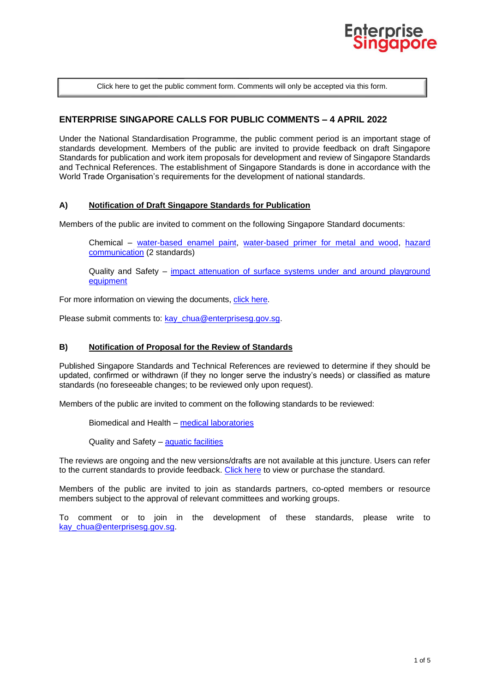

[Click here to get the public comment form. Comments will only be accepted via this form.](https://www.enterprisesg.gov.sg/-/media/ESG/Files/Quality%20and%20Standards/Standards/Public_comment_form)

# **ENTERPRISE SINGAPORE CALLS FOR PUBLIC COMMENTS – 4 APRIL 2022**

Under the National Standardisation Programme, the public comment period is an important stage of standards development. Members of the public are invited to provide feedback on draft Singapore Standards for publication and work item proposals for development and review of Singapore Standards and Technical References. The establishment of Singapore Standards is done in accordance with the World Trade Organisation's requirements for the development of national standards.

### **A) Notification of Draft Singapore Standards for Publication**

Members of the public are invited to comment on the following Singapore Standard documents:

Chemical – [water-based enamel paint,](#page-1-0) [water-based primer for metal and wood,](#page-1-1) [hazard](#page-1-2)  [communication](#page-1-2) (2 standards)

Quality and Safety – [impact attenuation of surface systems under and around playground](#page-2-0) [equipment](#page-2-0)

For more information on viewing the documents, [click here.](#page-2-1)

Please submit comments to: kay chua@enterprisesg.gov.sg.

### **B) Notification of Proposal for the Review of Standards**

Published Singapore Standards and Technical References are reviewed to determine if they should be updated, confirmed or withdrawn (if they no longer serve the industry's needs) or classified as mature standards (no foreseeable changes; to be reviewed only upon request).

Members of the public are invited to comment on the following standards to be reviewed:

Biomedical and Health – [medical laboratories](#page-2-2)

Quality and Safety - [aquatic facilities](#page-3-0)

The reviews are ongoing and the new versions/drafts are not available at this juncture. Users can refer to the current standards to provide feedback. [Click here](#page-2-1) to view or purchase the standard.

Members of the public are invited to join as standards partners, co-opted members or resource members subject to the approval of relevant committees and working groups.

To comment or to join in the development of these standards, please write to kay chua@enterprisesg.gov.sg.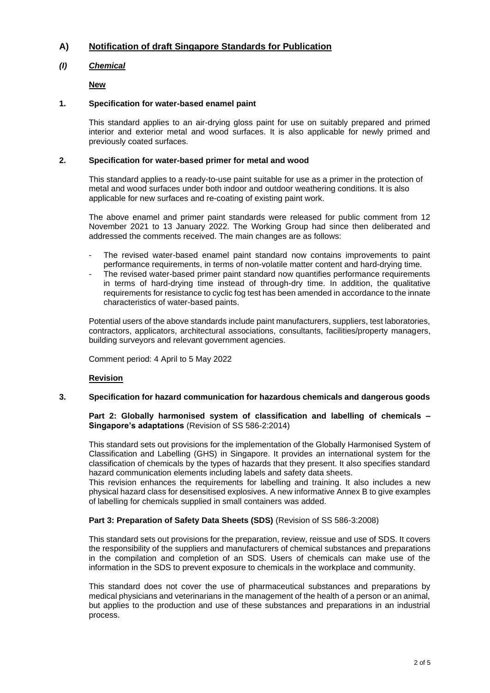# **A) Notification of draft Singapore Standards for Publication**

# *(I) Chemical*

**New**

## **1. Specification for water-based enamel paint**

<span id="page-1-0"></span>This standard applies to an air-drying gloss paint for use on suitably prepared and primed interior and exterior metal and wood surfaces. It is also applicable for newly primed and previously coated surfaces.

### **2. Specification for water-based primer for metal and wood**

<span id="page-1-1"></span>This standard applies to a ready-to-use paint suitable for use as a primer in the protection of metal and wood surfaces under both indoor and outdoor weathering conditions. It is also applicable for new surfaces and re-coating of existing paint work.

The above enamel and primer paint standards were released for public comment from 12 November 2021 to 13 January 2022. The Working Group had since then deliberated and addressed the comments received. The main changes are as follows:

- The revised water-based enamel paint standard now contains improvements to paint performance requirements, in terms of non-volatile matter content and hard-drying time.
- The revised water-based primer paint standard now quantifies performance requirements in terms of hard-drying time instead of through-dry time. In addition, the qualitative requirements for resistance to cyclic fog test has been amended in accordance to the innate characteristics of water-based paints.

Potential users of the above standards include paint manufacturers, suppliers, test laboratories, contractors, applicators, architectural associations, consultants, facilities/property managers, building surveyors and relevant government agencies.

Comment period: 4 April to 5 May 2022

# <span id="page-1-2"></span>**Revision**

# **3. Specification for hazard communication for hazardous chemicals and dangerous goods**

### **Part 2: Globally harmonised system of classification and labelling of chemicals – Singapore's adaptations** (Revision of SS 586-2:2014)

This standard sets out provisions for the implementation of the Globally Harmonised System of Classification and Labelling (GHS) in Singapore. It provides an international system for the classification of chemicals by the types of hazards that they present. It also specifies standard hazard communication elements including labels and safety data sheets.

This revision enhances the requirements for labelling and training. It also includes a new physical hazard class for desensitised explosives. A new informative Annex B to give examples of labelling for chemicals supplied in small containers was added.

# **Part 3: Preparation of Safety Data Sheets (SDS)** (Revision of SS 586-3:2008)

This standard sets out provisions for the preparation, review, reissue and use of SDS. It covers the responsibility of the suppliers and manufacturers of chemical substances and preparations in the compilation and completion of an SDS. Users of chemicals can make use of the information in the SDS to prevent exposure to chemicals in the workplace and community.

This standard does not cover the use of pharmaceutical substances and preparations by medical physicians and veterinarians in the management of the health of a person or an animal, but applies to the production and use of these substances and preparations in an industrial process.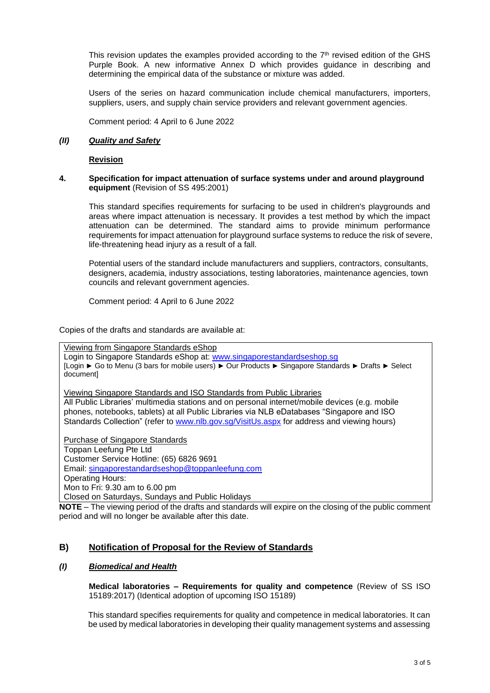This revision updates the examples provided according to the  $7<sup>th</sup>$  revised edition of the GHS Purple Book. A new informative Annex D which provides guidance in describing and determining the empirical data of the substance or mixture was added.

Users of the series on hazard communication include chemical manufacturers, importers, suppliers, users, and supply chain service providers and relevant government agencies.

Comment period: 4 April to 6 June 2022

#### *(II) Quality and Safety*

### <span id="page-2-0"></span>**Revision**

#### **4. Specification for impact attenuation of surface systems under and around playground equipment** (Revision of SS 495:2001)

This standard specifies requirements for surfacing to be used in children's playgrounds and areas where impact attenuation is necessary. It provides a test method by which the impact attenuation can be determined. The standard aims to provide minimum performance requirements for impact attenuation for playground surface systems to reduce the risk of severe, life-threatening head injury as a result of a fall.

Potential users of the standard include manufacturers and suppliers, contractors, consultants, designers, academia, industry associations, testing laboratories, maintenance agencies, town councils and relevant government agencies.

Comment period: 4 April to 6 June 2022

<span id="page-2-1"></span>Copies of the drafts and standards are available at:

Viewing from Singapore Standards eShop Login to Singapore Standards eShop at: [www.singaporestandardseshop.sg](http://www.singaporestandardseshop.sg/) [Login ► Go to Menu (3 bars for mobile users) ► Our Products ► Singapore Standards ► Drafts ► Select document]

Viewing Singapore Standards and ISO Standards from Public Libraries All Public Libraries' multimedia stations and on personal internet/mobile devices (e.g. mobile phones, notebooks, tablets) at all Public Libraries via NLB eDatabases "Singapore and ISO Standards Collection" (refer to [www.nlb.gov.sg/VisitUs.aspx](http://www.nlb.gov.sg/VisitUs.aspx) for address and viewing hours)

Purchase of Singapore Standards Toppan Leefung Pte Ltd Customer Service Hotline: (65) 6826 9691 Email: [singaporestandardseshop@toppanleefung.com](mailto:singaporestandardseshop@toppanleefung.com) Operating Hours: Mon to Fri: 9.30 am to 6.00 pm

Closed on Saturdays, Sundays and Public Holidays

**NOTE** – The viewing period of the drafts and standards will expire on the closing of the public comment period and will no longer be available after this date.

# **B) Notification of Proposal for the Review of Standards**

### <span id="page-2-2"></span>*(I) Biomedical and Health*

**Medical laboratories – Requirements for quality and competence** (Review of SS ISO 15189:2017) (Identical adoption of upcoming ISO 15189)

This standard specifies requirements for quality and competence in medical laboratories. It can be used by medical laboratories in developing their quality management systems and assessing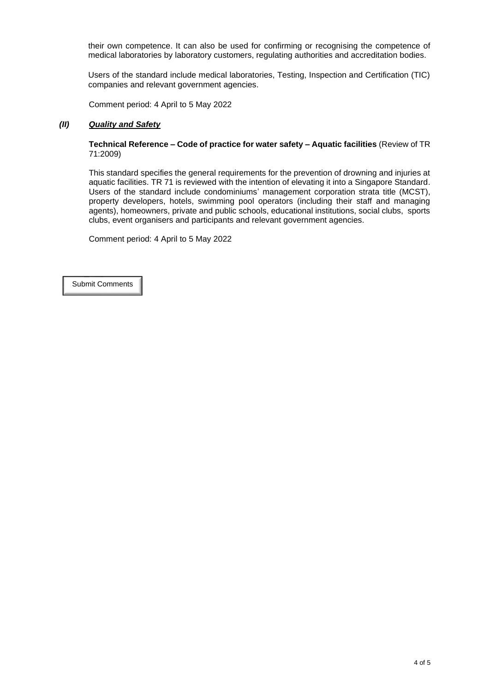their own competence. It can also be used for confirming or recognising the competence of medical laboratories by laboratory customers, regulating authorities and accreditation bodies.

Users of the standard include medical laboratories, Testing, Inspection and Certification (TIC) companies and relevant government agencies.

Comment period: 4 April to 5 May 2022

## <span id="page-3-0"></span>*(II) Quality and Safety*

**Technical Reference – Code of practice for water safety – Aquatic facilities** (Review of TR 71:2009)

This standard specifies the general requirements for the prevention of drowning and injuries at aquatic facilities. TR 71 is reviewed with the intention of elevating it into a Singapore Standard. Users of the standard include condominiums' management corporation strata title (MCST), property developers, hotels, swimming pool operators (including their staff and managing agents), homeowners, private and public schools, educational institutions, social clubs, sports clubs, event organisers and participants and relevant government agencies.

Comment period: 4 April to 5 May 2022

[Submit Comments](https://www.enterprisesg.gov.sg/-/media/ESG/Files/Quality%20and%20Standards/Standards/Public_comment_form)